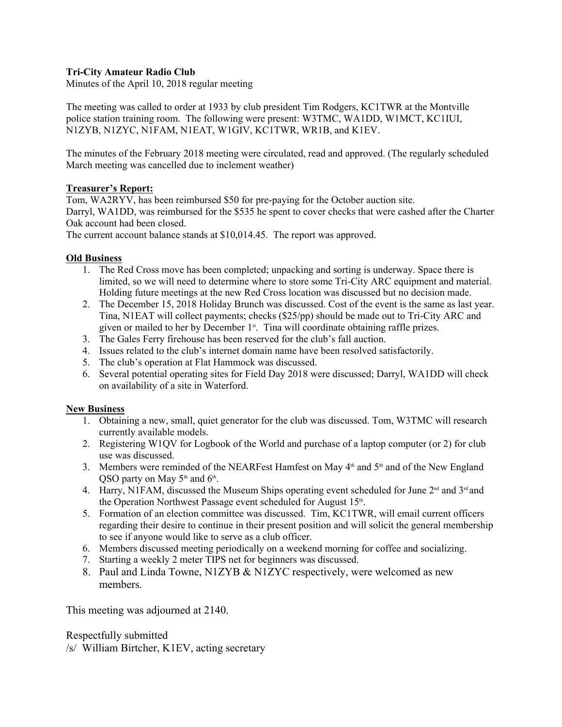## **Tri-City Amateur Radio Club**

Minutes of the April 10, 2018 regular meeting

The meeting was called to order at 1933 by club president Tim Rodgers, KC1TWR at the Montville police station training room. The following were present: W3TMC, WA1DD, W1MCT, KC1IUI, N1ZYB, N1ZYC, N1FAM, N1EAT, W1GIV, KC1TWR, WR1B, and K1EV.

The minutes of the February 2018 meeting were circulated, read and approved. (The regularly scheduled March meeting was cancelled due to inclement weather)

### **Treasurer's Report:**

Tom, WA2RYV, has been reimbursed \$50 for pre-paying for the October auction site. Darryl, WA1DD, was reimbursed for the \$535 he spent to cover checks that were cashed after the Charter Oak account had been closed.

The current account balance stands at \$10,014.45. The report was approved.

### **Old Business**

- 1. The Red Cross move has been completed; unpacking and sorting is underway. Space there is limited, so we will need to determine where to store some Tri-City ARC equipment and material. Holding future meetings at the new Red Cross location was discussed but no decision made.
- 2. The December 15, 2018 Holiday Brunch was discussed. Cost of the event is the same as last year. Tina, N1EAT will collect payments; checks (\$25/pp) should be made out to Tri-City ARC and given or mailed to her by December 1<sup>st</sup>. Tina will coordinate obtaining raffle prizes.
- 3. The Gales Ferry firehouse has been reserved for the club's fall auction.
- 4. Issues related to the club's internet domain name have been resolved satisfactorily.
- 5. The club's operation at Flat Hammock was discussed.
- 6. Several potential operating sites for Field Day 2018 were discussed; Darryl, WA1DD will check on availability of a site in Waterford.

#### **New Business**

- 1. Obtaining a new, small, quiet generator for the club was discussed. Tom, W3TMC will research currently available models.
- 2. Registering W1QV for Logbook of the World and purchase of a laptop computer (or 2) for club use was discussed.
- 3. Members were reminded of the NEARFest Hamfest on May  $4<sup>th</sup>$  and  $5<sup>th</sup>$  and of the New England QSO party on May  $5<sup>th</sup>$  and  $6<sup>th</sup>$ . .
- 4. Harry, N1FAM, discussed the Museum Ships operating event scheduled for June  $2<sup>nd</sup>$  and  $3<sup>rd</sup>$  and the Operation Northwest Passage event scheduled for August 15<sup>th</sup>. .
- 5. Formation of an election committee was discussed. Tim, KC1TWR, will email current officers regarding their desire to continue in their present position and will solicit the general membership to see if anyone would like to serve as a club officer.
- 6. Members discussed meeting periodically on a weekend morning for coffee and socializing.
- 7. Starting a weekly 2 meter TIPS net for beginners was discussed.
- 8. Paul and Linda Towne, N1ZYB & N1ZYC respectively, were welcomed as new members.

This meeting was adjourned at 2140.

Respectfully submitted

/s/ William Birtcher, K1EV, acting secretary